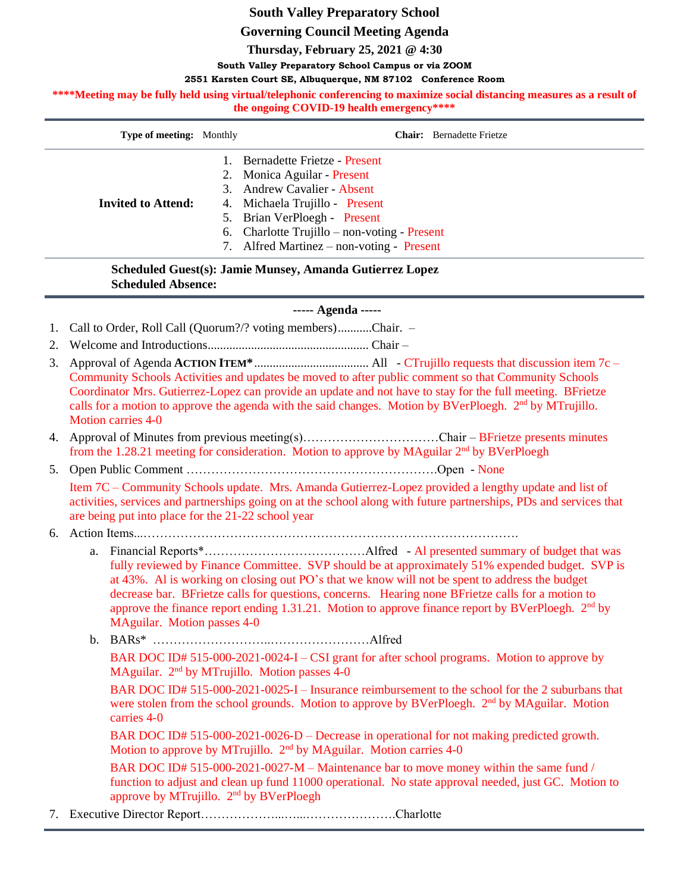# **South Valley Preparatory School**

**Governing Council Meeting Agenda**

**Thursday, February 25, 2021 @ 4:30**

**South Valley Preparatory School Campus or via ZOOM**

## **2551 Karsten Court SE, Albuquerque, NM 87102 Conference Room**

\*\*\*\*Meeting may be fully held using virtual/telephonic conferencing to maximize social distancing measures as a result of **the ongoing COVID-19 health emergency\*\*\*\***

| <b>Type of meeting:</b> Monthly | <b>Chair:</b> Bernadette Frietze                                                                                                                                                                                                                          |
|---------------------------------|-----------------------------------------------------------------------------------------------------------------------------------------------------------------------------------------------------------------------------------------------------------|
| <b>Invited to Attend:</b>       | Bernadette Frietze - Present<br>2. Monica Aguilar - Present<br>3. Andrew Cavalier - Absent<br>4. Michaela Trujillo - Present<br>5. Brian VerPloegh - Present<br>6. Charlotte Trujillo – non-voting - Present<br>7. Alfred Martinez – non-voting - Present |

**Scheduled Guest(s): Jamie Munsey, Amanda Gutierrez Lopez Scheduled Absence:**

# **----- Agenda -----**

- 1. Call to Order, Roll Call (Quorum?/? voting members)...........Chair. –
- 2. Welcome and Introductions.................................................... Chair –
- 3. Approval of Agenda **ACTION ITEM\***..................................... All CTrujillo requests that discussion item 7c Community Schools Activities and updates be moved to after public comment so that Community Schools Coordinator Mrs. Gutierrez-Lopez can provide an update and not have to stay for the full meeting. BFrietze calls for a motion to approve the agenda with the said changes. Motion by BVerPloegh. 2<sup>nd</sup> by MTrujillo. Motion carries 4-0
- 4. Approval of Minutes from previous meeting(s)……………………………Chair BFrietze presents minutes from the 1.28.21 meeting for consideration. Motion to approve by MAguilar 2<sup>nd</sup> by BVerPloegh
- 5. Open Public Comment …………………………………………………….Open None

Item 7C – Community Schools update. Mrs. Amanda Gutierrez-Lopez provided a lengthy update and list of activities, services and partnerships going on at the school along with future partnerships, PDs and services that are being put into place for the 21-22 school year

- 6. Action Items...……………………………………………………………………………….
	- a. Financial Reports\*…………………………………Alfred Al presented summary of budget that was fully reviewed by Finance Committee. SVP should be at approximately 51% expended budget. SVP is at 43%. Al is working on closing out PO's that we know will not be spent to address the budget decrease bar. BFrietze calls for questions, concerns. Hearing none BFrietze calls for a motion to approve the finance report ending 1.31.21. Motion to approve finance report by BVerPloegh.  $2<sup>nd</sup>$  by MAguilar. Motion passes 4-0
	- b. BARs\* ………………………..……………………Alfred BAR DOC ID# 515-000-2021-0024-I – CSI grant for after school programs. Motion to approve by MAguilar. 2<sup>nd</sup> by MTrujillo. Motion passes 4-0 BAR DOC ID# 515-000-2021-0025-I – Insurance reimbursement to the school for the 2 suburbans that were stolen from the school grounds. Motion to approve by BVerPloegh. 2<sup>nd</sup> by MAguilar. Motion carries 4-0 BAR DOC ID# 515-000-2021-0026-D – Decrease in operational for not making predicted growth. Motion to approve by MTrujillo. 2<sup>nd</sup> by MAguilar. Motion carries 4-0

BAR DOC ID# 515-000-2021-0027-M – Maintenance bar to move money within the same fund / function to adjust and clean up fund 11000 operational. No state approval needed, just GC. Motion to approve by MTrujillo. 2<sup>nd</sup> by BVerPloegh

7. Executive Director Report………………...…...………………….Charlotte